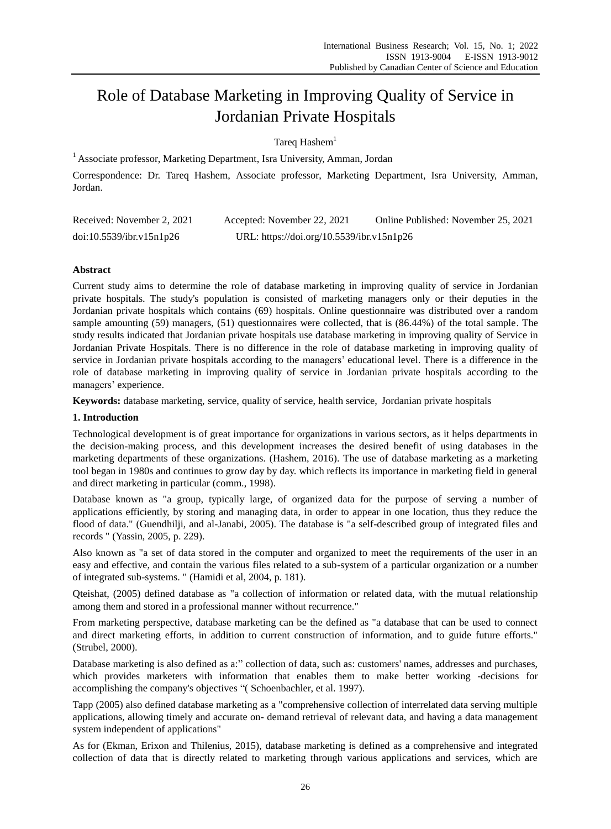# Role of Database Marketing in Improving Quality of Service in Jordanian Private Hospitals

Tareq Hashem $1$ 

 $<sup>1</sup>$  Associate professor, Marketing Department, Isra University, Amman, Jordan</sup>

Correspondence: Dr. Tareq Hashem, Associate professor, Marketing Department, Isra University, Amman, Jordan.

| Received: November 2, 2021 | Accepted: November 22, 2021               | Online Published: November 25, 2021 |
|----------------------------|-------------------------------------------|-------------------------------------|
| doi:10.5539/ibr.v15n1p26   | URL: https://doi.org/10.5539/ibr.v15n1p26 |                                     |

## **Abstract**

Current study aims to determine the role of database marketing in improving quality of service in Jordanian private hospitals. The study's population is consisted of marketing managers only or their deputies in the Jordanian private hospitals which contains (69) hospitals. Online questionnaire was distributed over a random sample amounting (59) managers, (51) questionnaires were collected, that is (86.44%) of the total sample. The study results indicated that Jordanian private hospitals use database marketing in improving quality of Service in Jordanian Private Hospitals. There is no difference in the role of database marketing in improving quality of service in Jordanian private hospitals according to the managers' educational level. There is a difference in the role of database marketing in improving quality of service in Jordanian private hospitals according to the managers' experience.

**Keywords:** database marketing, service, quality of service, health service, Jordanian private hospitals

## **1. Introduction**

Technological development is of great importance for organizations in various sectors, as it helps departments in the decision-making process, and this development increases the desired benefit of using databases in the marketing departments of these organizations. (Hashem, 2016). The use of database marketing as a marketing tool began in 1980s and continues to grow day by day. which reflects its importance in marketing field in general and direct marketing in particular (comm., 1998).

Database known as "a group, typically large, of organized data for the purpose of serving a number of applications efficiently, by storing and managing data, in order to appear in one location, thus they reduce the flood of data." (Guendhilji, and al-Janabi, 2005). The database is "a self-described group of integrated files and records " (Yassin, 2005, p. 229).

Also known as "a set of data stored in the computer and organized to meet the requirements of the user in an easy and effective, and contain the various files related to a sub-system of a particular organization or a number of integrated sub-systems. " (Hamidi et al, 2004, p. 181).

Qteishat, (2005) defined database as "a collection of information or related data, with the mutual relationship among them and stored in a professional manner without recurrence."

From marketing perspective, database marketing can be the defined as "a database that can be used to connect and direct marketing efforts, in addition to current construction of information, and to guide future efforts." (Strubel, 2000).

Database marketing is also defined as a:" collection of data, such as: customers' names, addresses and purchases, which provides marketers with information that enables them to make better working -decisions for accomplishing the company's objectives "( Schoenbachler, et al. 1997).

Tapp (2005) also defined database marketing as a "comprehensive collection of interrelated data serving multiple applications, allowing timely and accurate on- demand retrieval of relevant data, and having a data management system independent of applications"

As for (Ekman, Erixon and Thilenius, 2015), database marketing is defined as a comprehensive and integrated collection of data that is directly related to marketing through various applications and services, which are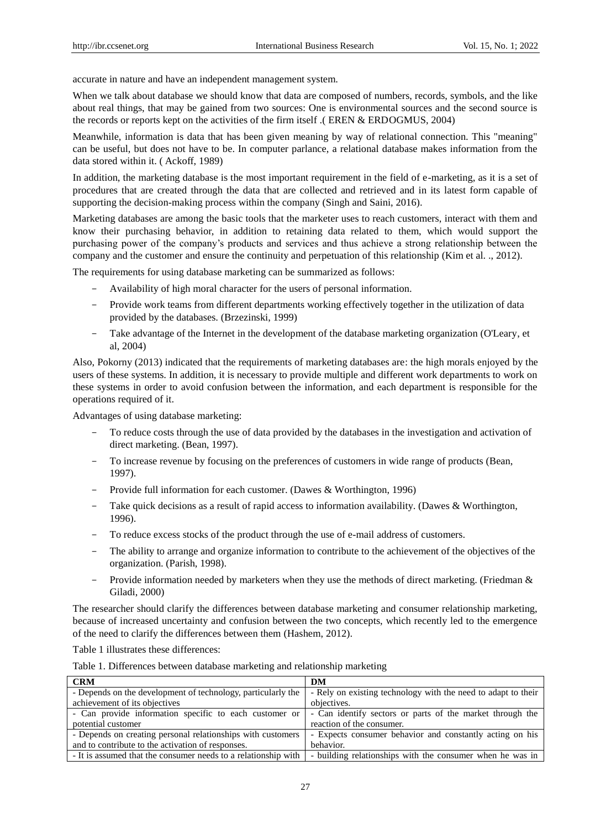accurate in nature and have an independent management system.

When we talk about database we should know that data are composed of numbers, records, symbols, and the like about real things, that may be gained from two sources: One is environmental sources and the second source is the records or reports kept on the activities of the firm itself .( EREN & ERDOGMUS, 2004)

Meanwhile, information is data that has been given meaning by way of relational connection. This "meaning" can be useful, but does not have to be. In computer parlance, a relational database makes information from the data stored within it. ( Ackoff, 1989)

In addition, the marketing database is the most important requirement in the field of e-marketing, as it is a set of procedures that are created through the data that are collected and retrieved and in its latest form capable of supporting the decision-making process within the company (Singh and Saini, 2016).

Marketing databases are among the basic tools that the marketer uses to reach customers, interact with them and know their purchasing behavior, in addition to retaining data related to them, which would support the purchasing power of the company's products and services and thus achieve a strong relationship between the company and the customer and ensure the continuity and perpetuation of this relationship (Kim et al. ., 2012).

The requirements for using database marketing can be summarized as follows:

- Availability of high moral character for the users of personal information.
- Provide work teams from different departments working effectively together in the utilization of data provided by the databases. (Brzezinski, 1999)
- Take advantage of the Internet in the development of the database marketing organization (O'Leary, et al, 2004)

Also, Pokorny (2013) indicated that the requirements of marketing databases are: the high morals enjoyed by the users of these systems. In addition, it is necessary to provide multiple and different work departments to work on these systems in order to avoid confusion between the information, and each department is responsible for the operations required of it.

Advantages of using database marketing:

- To reduce costs through the use of data provided by the databases in the investigation and activation of direct marketing. (Bean, 1997).
- To increase revenue by focusing on the preferences of customers in wide range of products (Bean, 1997).
- Provide full information for each customer. (Dawes & Worthington, 1996)
- Take quick decisions as a result of rapid access to information availability. (Dawes & Worthington, 1996).
- To reduce excess stocks of the product through the use of e-mail address of customers.
- The ability to arrange and organize information to contribute to the achievement of the objectives of the organization. (Parish, 1998).
- Provide information needed by marketers when they use the methods of direct marketing. (Friedman & Giladi, 2000)

The researcher should clarify the differences between database marketing and consumer relationship marketing, because of increased uncertainty and confusion between the two concepts, which recently led to the emergence of the need to clarify the differences between them (Hashem, 2012).

Table 1 illustrates these differences:

| Table 1. Differences between database marketing and relationship marketing |  |  |  |
|----------------------------------------------------------------------------|--|--|--|
|----------------------------------------------------------------------------|--|--|--|

| <b>CRM</b>                                                     | DM                                                            |
|----------------------------------------------------------------|---------------------------------------------------------------|
| - Depends on the development of technology, particularly the   | - Rely on existing technology with the need to adapt to their |
| achievement of its objectives                                  | objectives.                                                   |
| - Can provide information specific to each customer or         | - Can identify sectors or parts of the market through the     |
| potential customer                                             | reaction of the consumer.                                     |
| - Depends on creating personal relationships with customers    | - Expects consumer behavior and constantly acting on his      |
| and to contribute to the activation of responses.              | behavior.                                                     |
| - It is assumed that the consumer needs to a relationship with | - building relationships with the consumer when he was in     |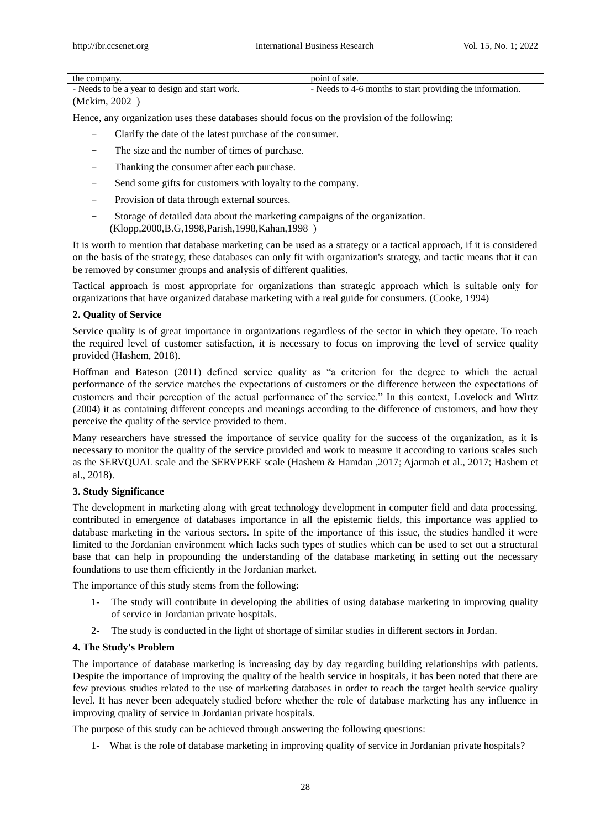| the                                                                        | sale.                                                                                  |
|----------------------------------------------------------------------------|----------------------------------------------------------------------------------------|
| company.                                                                   | DO1NU                                                                                  |
| Needs<br>start work.<br>and<br>$^{\rm fr}$<br>design<br>ne<br>a vear<br>τo | tormatıon.<br>providing<br>1n<br>the<br>عاصد<br>to<br>months<br>start<br>ŤΩ<br>$4 - n$ |

## (Mckim, 2002)

Hence, any organization uses these databases should focus on the provision of the following:

- Clarify the date of the latest purchase of the consumer.
- The size and the number of times of purchase.
- Thanking the consumer after each purchase.
- Send some gifts for customers with loyalty to the company.
- Provision of data through external sources.
- Storage of detailed data about the marketing campaigns of the organization. (Klopp, 2000, B.G, 1998, Parish, 1998, Kahan, 1998)

It is worth to mention that database marketing can be used as a strategy or a tactical approach, if it is considered on the basis of the strategy, these databases can only fit with organization's strategy, and tactic means that it can be removed by consumer groups and analysis of different qualities.

Tactical approach is most appropriate for organizations than strategic approach which is suitable only for organizations that have organized database marketing with a real guide for consumers. (Cooke, 1994)

## **2. Quality of Service**

Service quality is of great importance in organizations regardless of the sector in which they operate. To reach the required level of customer satisfaction, it is necessary to focus on improving the level of service quality provided (Hashem, 2018).

Hoffman and Bateson (2011) defined service quality as "a criterion for the degree to which the actual performance of the service matches the expectations of customers or the difference between the expectations of customers and their perception of the actual performance of the service." In this context, Lovelock and Wirtz (2004) it as containing different concepts and meanings according to the difference of customers, and how they perceive the quality of the service provided to them.

Many researchers have stressed the importance of service quality for the success of the organization, as it is necessary to monitor the quality of the service provided and work to measure it according to various scales such as the SERVQUAL scale and the SERVPERF scale (Hashem & Hamdan ,2017; Ajarmah et al., 2017; Hashem et al., 2018).

## **3. Study Significance**

The development in marketing along with great technology development in computer field and data processing, contributed in emergence of databases importance in all the epistemic fields, this importance was applied to database marketing in the various sectors. In spite of the importance of this issue, the studies handled it were limited to the Jordanian environment which lacks such types of studies which can be used to set out a structural base that can help in propounding the understanding of the database marketing in setting out the necessary foundations to use them efficiently in the Jordanian market.

The importance of this study stems from the following:

- 1- The study will contribute in developing the abilities of using database marketing in improving quality of service in Jordanian private hospitals.
- 2- The study is conducted in the light of shortage of similar studies in different sectors in Jordan.

# **4. The Study's Problem**

The importance of database marketing is increasing day by day regarding building relationships with patients. Despite the importance of improving the quality of the health service in hospitals, it has been noted that there are few previous studies related to the use of marketing databases in order to reach the target health service quality level. It has never been adequately studied before whether the role of database marketing has any influence in improving quality of service in Jordanian private hospitals.

The purpose of this study can be achieved through answering the following questions:

1- What is the role of database marketing in improving quality of service in Jordanian private hospitals?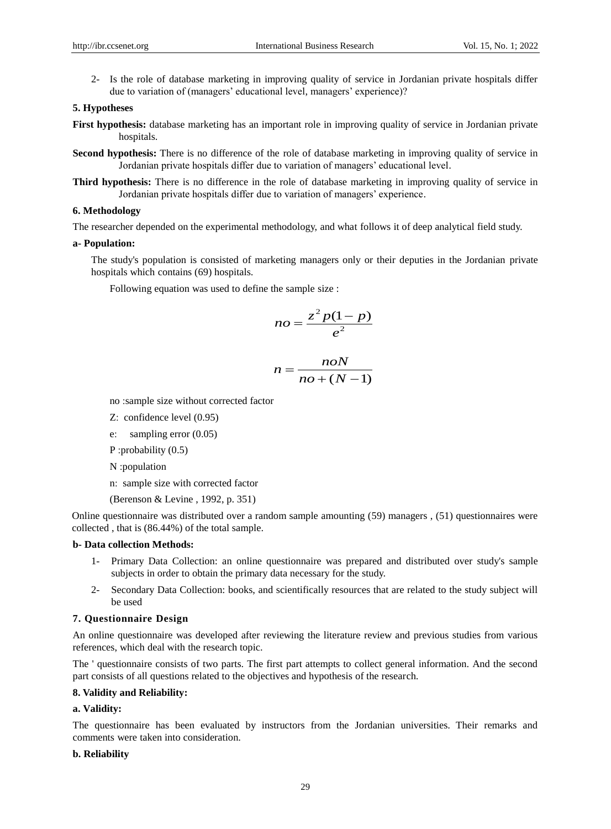2- Is the role of database marketing in improving quality of service in Jordanian private hospitals differ due to variation of (managers' educational level, managers' experience)?

## **5. Hypotheses**

**First hypothesis:** database marketing has an important role in improving quality of service in Jordanian private hospitals.

- **Second hypothesis:** There is no difference of the role of database marketing in improving quality of service in Jordanian private hospitals differ due to variation of managers' educational level.
- **Third hypothesis:** There is no difference in the role of database marketing in improving quality of service in Jordanian private hospitals differ due to variation of managers' experience.

#### **6. Methodology**

The researcher depended on the experimental methodology, and what follows it of deep analytical field study.

#### **a- Population:**

The study's population is consisted of marketing managers only or their deputies in the Jordanian private hospitals which contains (69) hospitals.

Following equation was used to define the sample size :

$$
no = \frac{z^2 p(1-p)}{e^2}
$$

$$
n = \frac{n\omega N}{n\omega + (N-1)}
$$

no :sample size without corrected factor

Z: confidence level (0.95)

e: sampling error (0.05)

P :probability (0.5)

N :population

- n: sample size with corrected factor
- (Berenson & Levine , 1992, p. 351)

Online questionnaire was distributed over a random sample amounting (59) managers , (51) questionnaires were collected , that is (86.44%) of the total sample.

## **b- Data collection Methods:**

- 1- Primary Data Collection: an online questionnaire was prepared and distributed over study's sample subjects in order to obtain the primary data necessary for the study.
- 2- Secondary Data Collection: books, and scientifically resources that are related to the study subject will be used

#### **7. Questionnaire Design**

An online questionnaire was developed after reviewing the literature review and previous studies from various references, which deal with the research topic.

The ' questionnaire consists of two parts. The first part attempts to collect general information. And the second part consists of all questions related to the objectives and hypothesis of the research.

#### **8. Validity and Reliability:**

#### **a. Validity:**

The questionnaire has been evaluated by instructors from the Jordanian universities. Their remarks and comments were taken into consideration.

#### **b. Reliability**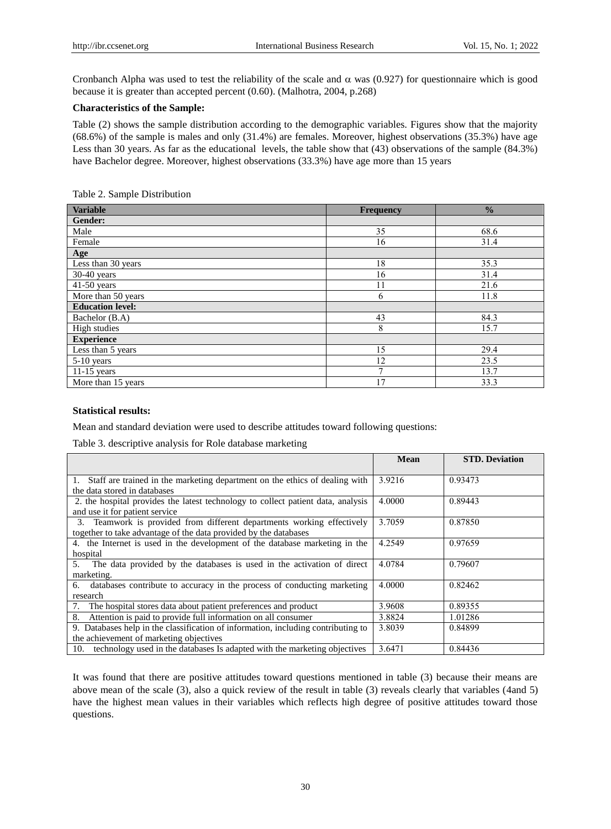Cronbanch Alpha was used to test the reliability of the scale and  $\alpha$  was (0.927) for questionnaire which is good because it is greater than accepted percent (0.60). (Malhotra, 2004, p.268)

## **Characteristics of the Sample:**

Table (2) shows the sample distribution according to the demographic variables. Figures show that the majority (68.6%) of the sample is males and only (31.4%) are females. Moreover, highest observations (35.3%) have age Less than 30 years. As far as the educational levels, the table show that (43) observations of the sample (84.3%) have Bachelor degree. Moreover, highest observations (33.3%) have age more than 15 years

| <b>Variable</b>         | <b>Frequency</b> | $\frac{0}{0}$ |
|-------------------------|------------------|---------------|
| Gender:                 |                  |               |
| Male                    | 35               | 68.6          |
| Female                  | 16               | 31.4          |
| Age                     |                  |               |
| Less than 30 years      | 18               | 35.3          |
| $30-40$ years           | 16               | 31.4          |
| $41-50$ years           | 11               | 21.6          |
| More than 50 years      | 6                | 11.8          |
| <b>Education level:</b> |                  |               |
| Bachelor (B.A)          | 43               | 84.3          |
| High studies            | 8                | 15.7          |
| <b>Experience</b>       |                  |               |
| Less than 5 years       | 15               | 29.4          |
| $5-10$ years            | 12               | 23.5          |
| $11-15$ years           |                  | 13.7          |
| More than 15 years      | 17               | 33.3          |

Table 2. Sample Distribution

#### **Statistical results:**

Mean and standard deviation were used to describe attitudes toward following questions:

Table 3. descriptive analysis for Role database marketing

|                                                                                   | Mean   | <b>STD. Deviation</b> |
|-----------------------------------------------------------------------------------|--------|-----------------------|
|                                                                                   |        |                       |
| 1. Staff are trained in the marketing department on the ethics of dealing with    | 3.9216 | 0.93473               |
| the data stored in databases                                                      |        |                       |
| 2. the hospital provides the latest technology to collect patient data, analysis  | 4.0000 | 0.89443               |
| and use it for patient service                                                    |        |                       |
| 3. Teamwork is provided from different departments working effectively            | 3.7059 | 0.87850               |
| together to take advantage of the data provided by the databases                  |        |                       |
| 4. the Internet is used in the development of the database marketing in the       | 4.2549 | 0.97659               |
| hospital                                                                          |        |                       |
| The data provided by the databases is used in the activation of direct<br>5.      | 4.0784 | 0.79607               |
| marketing.                                                                        |        |                       |
| databases contribute to accuracy in the process of conducting marketing<br>6.     | 4.0000 | 0.82462               |
| research                                                                          |        |                       |
| The hospital stores data about patient preferences and product<br>7.              | 3.9608 | 0.89355               |
| Attention is paid to provide full information on all consumer<br>8.               | 3.8824 | 1.01286               |
| 9. Databases help in the classification of information, including contributing to | 3.8039 | 0.84899               |
| the achievement of marketing objectives                                           |        |                       |
| technology used in the databases Is adapted with the marketing objectives<br>10.  | 3.6471 | 0.84436               |

It was found that there are positive attitudes toward questions mentioned in table (3) because their means are above mean of the scale (3), also a quick review of the result in table (3) reveals clearly that variables (4and 5) have the highest mean values in their variables which reflects high degree of positive attitudes toward those questions.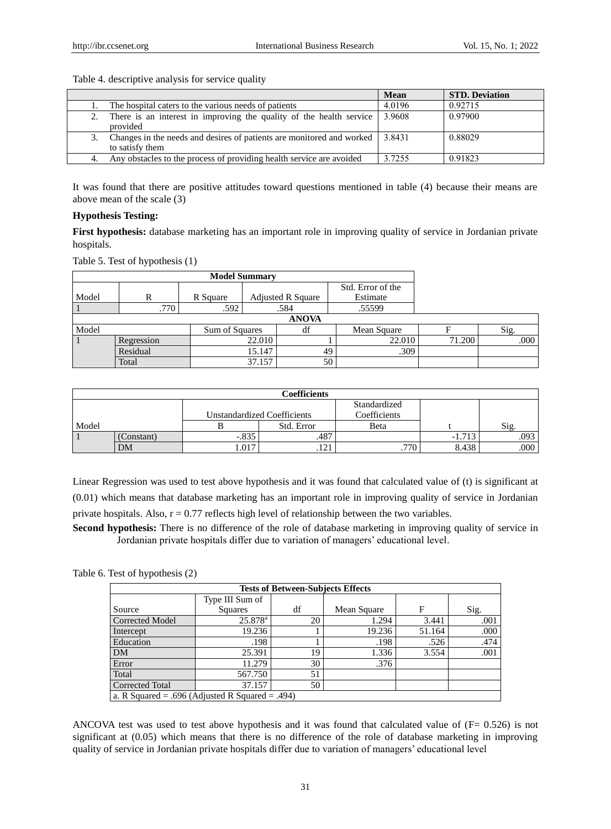|                                                                       | <b>Mean</b> | <b>STD. Deviation</b> |
|-----------------------------------------------------------------------|-------------|-----------------------|
| The hospital caters to the various needs of patients                  | 4.0196      | 0.92715               |
| There is an interest in improving the quality of the health service   | 3.9608      | 0.97900               |
| provided                                                              |             |                       |
| Changes in the needs and desires of patients are monitored and worked | 3.8431      | 0.88029               |
| to satisfy them                                                       |             |                       |
| Any obstacles to the process of providing health service are avoided  | 3.7255      | 0.91823               |

#### Table 4. descriptive analysis for service quality

It was found that there are positive attitudes toward questions mentioned in table (4) because their means are above mean of the scale (3)

## **Hypothesis Testing:**

**First hypothesis:** database marketing has an important role in improving quality of service in Jordanian private hospitals.

Table 5. Test of hypothesis (1)

| <b>Model Summary</b> |              |                |        |                          |                   |        |      |
|----------------------|--------------|----------------|--------|--------------------------|-------------------|--------|------|
|                      |              |                |        |                          | Std. Error of the |        |      |
| Model                | R            | R Square       |        | <b>Adjusted R Square</b> | Estimate          |        |      |
|                      | .770         | .592           |        | .584                     | .55599            |        |      |
|                      | <b>ANOVA</b> |                |        |                          |                   |        |      |
| Model                |              | Sum of Squares |        | df                       | Mean Square       |        | Sig. |
|                      | Regression   |                | 22.010 |                          | 22.010            | 71.200 | .000 |
|                      | Residual     |                | 15.147 | 49                       | .309              |        |      |
|                      | Total        |                | 37.157 | 50                       |                   |        |      |

| Coefficients |           |                                    |                         |              |                |      |  |
|--------------|-----------|------------------------------------|-------------------------|--------------|----------------|------|--|
|              |           |                                    |                         | Standardized |                |      |  |
|              |           | <b>Unstandardized Coefficients</b> |                         | Coefficients |                |      |  |
| Model        |           |                                    | Std. Error              | Beta         |                | Sig. |  |
|              | Constant) | $-.835$                            | .487                    |              | 1712<br>-1.713 | .093 |  |
|              | DM        | 1.017                              | $\cdot$ $\sim$<br>. 121 | .770         | 8.438          | .000 |  |

Linear Regression was used to test above hypothesis and it was found that calculated value of (t) is significant at (0.01) which means that database marketing has an important role in improving quality of service in Jordanian private hospitals. Also,  $r = 0.77$  reflects high level of relationship between the two variables.

**Second hypothesis:** There is no difference of the role of database marketing in improving quality of service in Jordanian private hospitals differ due to variation of managers' educational level.

#### Table 6. Test of hypothesis (2)

| <b>Tests of Between-Subjects Effects</b> |                                                 |    |             |        |      |  |
|------------------------------------------|-------------------------------------------------|----|-------------|--------|------|--|
|                                          | Type III Sum of                                 |    |             |        |      |  |
| Source                                   | Squares                                         | df | Mean Square | F      | Sig. |  |
| <b>Corrected Model</b>                   | $25.878$ <sup>a</sup>                           | 20 | 1.294       | 3.441  | .001 |  |
| Intercept                                | 19.236                                          |    | 19.236      | 51.164 | .000 |  |
| Education                                | .198                                            |    | .198        | .526   | .474 |  |
| DM                                       | 25.391                                          | 19 | 1.336       | 3.554  | .001 |  |
| Error                                    | 11.279                                          | 30 | .376        |        |      |  |
| Total                                    | 567.750                                         | 51 |             |        |      |  |
| <b>Corrected Total</b>                   | 37.157                                          | 50 |             |        |      |  |
|                                          | a. R Squared = .696 (Adjusted R Squared = .494) |    |             |        |      |  |

ANCOVA test was used to test above hypothesis and it was found that calculated value of (F= 0.526) is not significant at (0.05) which means that there is no difference of the role of database marketing in improving quality of service in Jordanian private hospitals differ due to variation of managers' educational level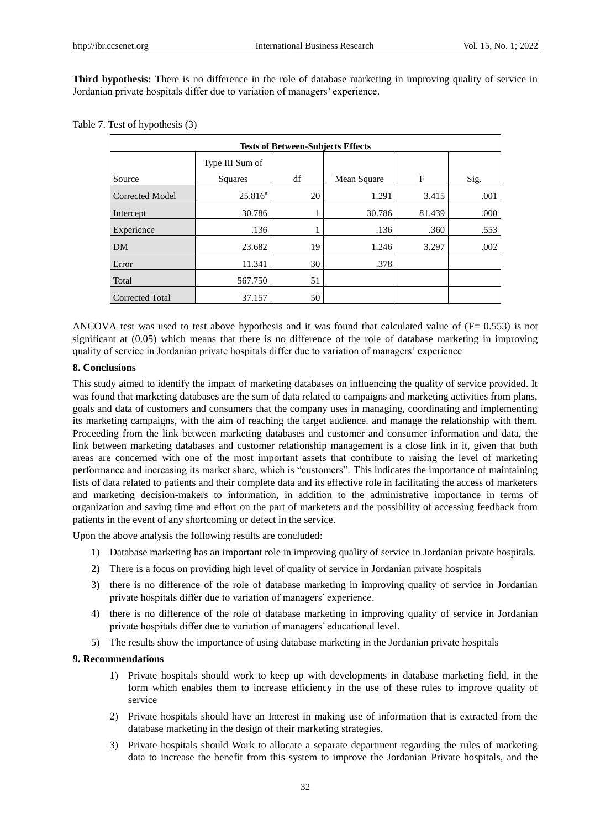**Third hypothesis:** There is no difference in the role of database marketing in improving quality of service in Jordanian private hospitals differ due to variation of managers' experience.

|                        | <b>Tests of Between-Subjects Effects</b> |    |             |        |      |  |
|------------------------|------------------------------------------|----|-------------|--------|------|--|
|                        | Type III Sum of                          |    |             |        |      |  |
| Source                 | Squares                                  | df | Mean Square | F      | Sig. |  |
| Corrected Model        | $25.816^a$                               | 20 | 1.291       | 3.415  | .001 |  |
| Intercept              | 30.786                                   |    | 30.786      | 81.439 | .000 |  |
| Experience             | .136                                     |    | .136        | .360   | .553 |  |
| <b>DM</b>              | 23.682                                   | 19 | 1.246       | 3.297  | .002 |  |
| Error                  | 11.341                                   | 30 | .378        |        |      |  |
| Total                  | 567.750                                  | 51 |             |        |      |  |
| <b>Corrected Total</b> | 37.157                                   | 50 |             |        |      |  |

Table 7. Test of hypothesis (3)

ANCOVA test was used to test above hypothesis and it was found that calculated value of  $(F= 0.553)$  is not significant at (0.05) which means that there is no difference of the role of database marketing in improving quality of service in Jordanian private hospitals differ due to variation of managers' experience

#### **8. Conclusions**

This study aimed to identify the impact of marketing databases on influencing the quality of service provided. It was found that marketing databases are the sum of data related to campaigns and marketing activities from plans, goals and data of customers and consumers that the company uses in managing, coordinating and implementing its marketing campaigns, with the aim of reaching the target audience. and manage the relationship with them. Proceeding from the link between marketing databases and customer and consumer information and data, the link between marketing databases and customer relationship management is a close link in it, given that both areas are concerned with one of the most important assets that contribute to raising the level of marketing performance and increasing its market share, which is "customers". This indicates the importance of maintaining lists of data related to patients and their complete data and its effective role in facilitating the access of marketers and marketing decision-makers to information, in addition to the administrative importance in terms of organization and saving time and effort on the part of marketers and the possibility of accessing feedback from patients in the event of any shortcoming or defect in the service.

Upon the above analysis the following results are concluded:

- 1) Database marketing has an important role in improving quality of service in Jordanian private hospitals.
- 2) There is a focus on providing high level of quality of service in Jordanian private hospitals
- 3) there is no difference of the role of database marketing in improving quality of service in Jordanian private hospitals differ due to variation of managers' experience.
- 4) there is no difference of the role of database marketing in improving quality of service in Jordanian private hospitals differ due to variation of managers' educational level.
- 5) The results show the importance of using database marketing in the Jordanian private hospitals

#### **9. Recommendations**

- 1) Private hospitals should work to keep up with developments in database marketing field, in the form which enables them to increase efficiency in the use of these rules to improve quality of service
- 2) Private hospitals should have an Interest in making use of information that is extracted from the database marketing in the design of their marketing strategies.
- 3) Private hospitals should Work to allocate a separate department regarding the rules of marketing data to increase the benefit from this system to improve the Jordanian Private hospitals, and the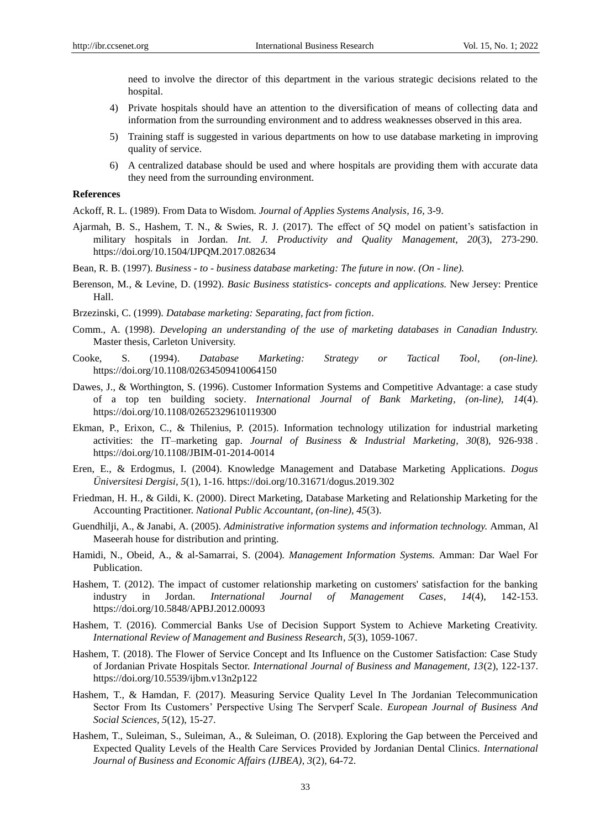need to involve the director of this department in the various strategic decisions related to the hospital.

- 4) Private hospitals should have an attention to the diversification of means of collecting data and information from the surrounding environment and to address weaknesses observed in this area.
- 5) Training staff is suggested in various departments on how to use database marketing in improving quality of service.
- 6) A centralized database should be used and where hospitals are providing them with accurate data they need from the surrounding environment.

#### **References**

Ackoff, R. L. (1989). From Data to Wisdom. *Journal of Applies Systems Analysis, 16,* 3-9.

- Ajarmah, B. S., Hashem, T. N., & Swies, R. J. (2017). The effect of 5Q model on patient's satisfaction in military hospitals in Jordan. *Int. J. Productivity and Quality Management, 20*(3), 273-290. https://doi.org/10.1504/IJPQM.2017.082634
- Bean, R. B. (1997). *Business - to - business database marketing: The future in now. (On - line).*
- Berenson, M., & Levine, D. (1992). *Basic Business statistics- concepts and applications.* New Jersey: Prentice Hall.
- Brzezinski, C. (1999). *Database marketing: Separating, fact from fiction*.
- Comm., A. (1998). *Developing an understanding of the use of marketing databases in Canadian Industry.* Master thesis, Carleton University.
- Cooke, S. (1994). *Database Marketing: Strategy or Tactical Tool, (on-line).* https://doi.org/10.1108/02634509410064150
- Dawes, J., & Worthington, S. (1996). Customer Information Systems and Competitive Advantage: a case study of a top ten building society. *International Journal of Bank Marketing, (on-line), 14*(4). https://doi.org/10.1108/02652329610119300
- Ekman, P., Erixon, C., & Thilenius, P. (2015). Information technology utilization for industrial marketing activities: the IT–marketing gap. *Journal of Business & Industrial Marketing*, 30(8), 926-938. https://doi.org/10.1108/JBIM-01-2014-0014
- Eren, E., & Erdogmus, I. (2004). Knowledge Management and Database Marketing Applications. *Dogus Üniversitesi Dergisi, 5*(1), 1-16. https://doi.org/10.31671/dogus.2019.302
- Friedman, H. H., & Gildi, K. (2000). Direct Marketing, Database Marketing and Relationship Marketing for the Accounting Practitioner. *National Public Accountant, (on-line), 45*(3).
- Guendhilji, A., & Janabi, A. (2005). *Administrative information systems and information technology.* Amman, Al Maseerah house for distribution and printing.
- Hamidi, N., Obeid, A., & al-Samarrai, S. (2004)*. Management Information Systems.* Amman: Dar Wael For Publication.
- Hashem, T. (2012). [The impact of customer relationship marketing on customers' satisfaction for the banking](https://www.researchgate.net/profile/Madalena-Pereira-2/publication/236587511_Colour_and_Young_People_Fashion/links/5ef49f52299bf15a2ea0b312/Colour-and-Young-People-Fashion.pdf#page=142)  [industry in Jordan.](https://www.researchgate.net/profile/Madalena-Pereira-2/publication/236587511_Colour_and_Young_People_Fashion/links/5ef49f52299bf15a2ea0b312/Colour-and-Young-People-Fashion.pdf#page=142) *International Journal of Management Cases, 14*(4), 142-153. https://doi.org/10.5848/APBJ.2012.00093
- Hashem, T. (2016). Commercial Banks Use of Decision Support System to Achieve Marketing Creativity. *International Review of Management and Business Research, 5*(3), 1059-1067.
- Hashem, T. (2018). The Flower of Service Concept and Its Influence on the Customer Satisfaction: Case Study of Jordanian Private Hospitals Sector. *International Journal of Business and Management, 13*(2), 122-137. https://doi.org/10.5539/ijbm.v13n2p122
- Hashem, T., & Hamdan, F. (2017). Measuring Service Quality Level In The Jordanian Telecommunication Sector From Its Customers' Perspective Using The Servperf Scale. *European Journal of Business And Social Sciences, 5*(12), 15-27.
- Hashem, T., Suleiman, S., Suleiman, A., & Suleiman, O. (2018). Exploring the Gap between the Perceived and Expected Quality Levels of the Health Care Services Provided by Jordanian Dental Clinics. *International Journal of Business and Economic Affairs (IJBEA), 3*(2), 64-72.